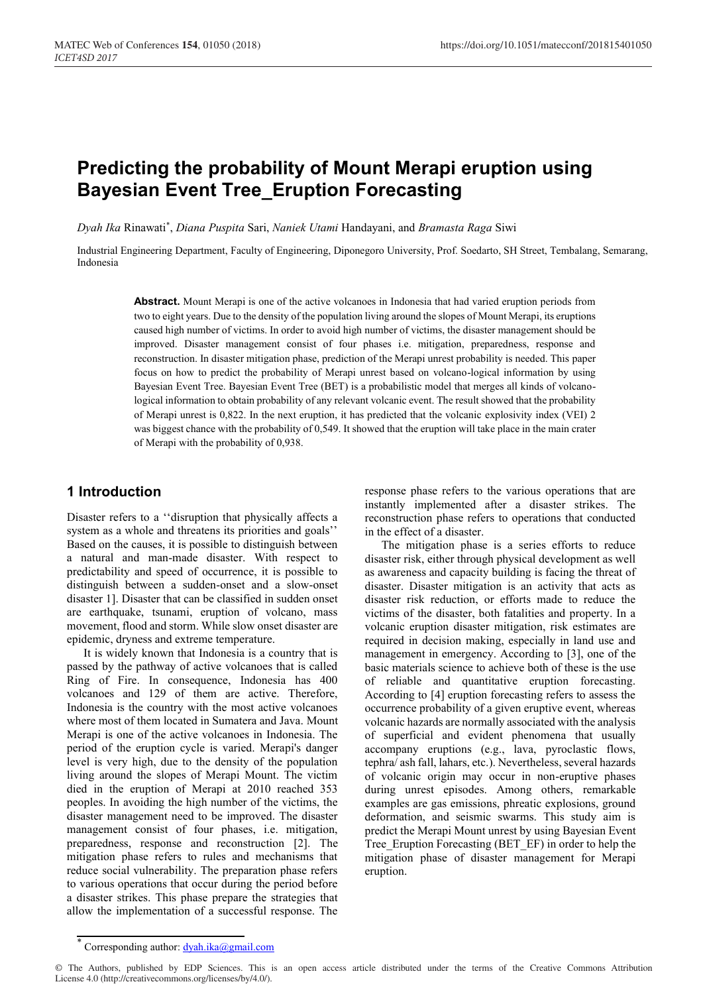# **Predicting the probability of Mount Merapi eruption using Bayesian Event Tree\_Eruption Forecasting**

*Dyah Ika* Rinawati\* , *Diana Puspita* Sari, *Naniek Utami* Handayani, and *Bramasta Raga* Siwi

Industrial Engineering Department, Faculty of Engineering, Diponegoro University, Prof. Soedarto, SH Street, Tembalang, Semarang, Indonesia

**Abstract.** Mount Merapi is one of the active volcanoes in Indonesia that had varied eruption periods from two to eight years. Due to the density of the population living around the slopes of Mount Merapi, its eruptions caused high number of victims. In order to avoid high number of victims, the disaster management should be improved. Disaster management consist of four phases i.e. mitigation, preparedness, response and reconstruction. In disaster mitigation phase, prediction of the Merapi unrest probability is needed. This paper focus on how to predict the probability of Merapi unrest based on volcano-logical information by using Bayesian Event Tree. Bayesian Event Tree (BET) is a probabilistic model that merges all kinds of volcanological information to obtain probability of any relevant volcanic event. The result showed that the probability of Merapi unrest is 0,822. In the next eruption, it has predicted that the volcanic explosivity index (VEI) 2 was biggest chance with the probability of 0,549. It showed that the eruption will take place in the main crater of Merapi with the probability of 0,938.

# **1 Introduction**

Disaster refers to a ''disruption that physically affects a system as a whole and threatens its priorities and goals'' Based on the causes, it is possible to distinguish between a natural and man-made disaster. With respect to predictability and speed of occurrence, it is possible to distinguish between a sudden-onset and a slow-onset disaster 1]. Disaster that can be classified in sudden onset are earthquake, tsunami, eruption of volcano, mass movement, flood and storm. While slow onset disaster are epidemic, dryness and extreme temperature.

It is widely known that Indonesia is a country that is passed by the pathway of active volcanoes that is called Ring of Fire. In consequence, Indonesia has 400 volcanoes and 129 of them are active. Therefore, Indonesia is the country with the most active volcanoes where most of them located in Sumatera and Java. Mount Merapi is one of the active volcanoes in Indonesia. The period of the eruption cycle is varied. Merapi's danger level is very high, due to the density of the population living around the slopes of Merapi Mount. The victim died in the eruption of Merapi at 2010 reached 353 peoples. In avoiding the high number of the victims, the disaster management need to be improved. The disaster management consist of four phases, i.e. mitigation, preparedness, response and reconstruction [2]. The mitigation phase refers to rules and mechanisms that reduce social vulnerability. The preparation phase refers to various operations that occur during the period before a disaster strikes. This phase prepare the strategies that allow the implementation of a successful response. The

response phase refers to the various operations that are instantly implemented after a disaster strikes. The reconstruction phase refers to operations that conducted in the effect of a disaster.

The mitigation phase is a series efforts to reduce disaster risk, either through physical development as well as awareness and capacity building is facing the threat of disaster. Disaster mitigation is an activity that acts as disaster risk reduction, or efforts made to reduce the victims of the disaster, both fatalities and property. In a volcanic eruption disaster mitigation, risk estimates are required in decision making, especially in land use and management in emergency. According to [3], one of the basic materials science to achieve both of these is the use of reliable and quantitative eruption forecasting. According to [4] eruption forecasting refers to assess the occurrence probability of a given eruptive event, whereas volcanic hazards are normally associated with the analysis of superficial and evident phenomena that usually accompany eruptions (e.g., lava, pyroclastic flows, tephra/ ash fall, lahars, etc.). Nevertheless, several hazards of volcanic origin may occur in non-eruptive phases during unrest episodes. Among others, remarkable examples are gas emissions, phreatic explosions, ground deformation, and seismic swarms. This study aim is predict the Merapi Mount unrest by using Bayesian Event Tree Eruption Forecasting (BET EF) in order to help the mitigation phase of disaster management for Merapi eruption.

Corresponding author:  $\frac{dyah.ika(\partial gmail.com)}{dx}$ 

<sup>©</sup> The Authors, published by EDP Sciences. This is an open access article distributed under the terms of the Creative Commons Attribution License 4.0 (http://creativecommons.org/licenses/by/4.0/).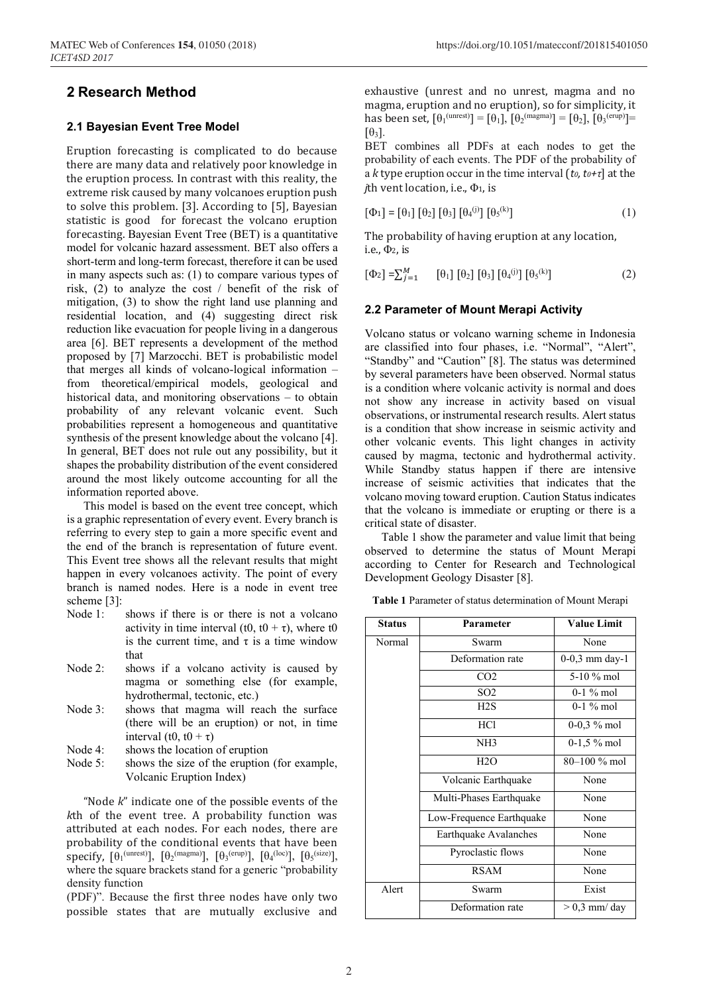# **2 Research Method**

#### **2.1 Bayesian Event Tree Model**

Eruption forecasting is complicated to do because there are many data and relatively poor knowledge in the eruption process. In contrast with this reality, the extreme risk caused by many volcanoes eruption push to solve this problem. [3]. According to [5], Bayesian statistic is good for forecast the volcano eruption forecasting. Bayesian Event Tree (BET) is a quantitative model for volcanic hazard assessment. BET also offers a short-term and long-term forecast, therefore it can be used in many aspects such as: (1) to compare various types of risk, (2) to analyze the cost / benefit of the risk of mitigation, (3) to show the right land use planning and residential location, and (4) suggesting direct risk reduction like evacuation for people living in a dangerous area [6]. BET represents a development of the method proposed by [7] Marzocchi. BET is probabilistic model that merges all kinds of volcano-logical information – from theoretical/empirical models, geological and historical data, and monitoring observations – to obtain probability of any relevant volcanic event. Such probabilities represent a homogeneous and quantitative synthesis of the present knowledge about the volcano [4]. In general, BET does not rule out any possibility, but it shapes the probability distribution of the event considered around the most likely outcome accounting for all the information reported above.

This model is based on the event tree concept, which is a graphic representation of every event. Every branch is referring to every step to gain a more specific event and the end of the branch is representation of future event. This Event tree shows all the relevant results that might happen in every volcanoes activity. The point of every branch is named nodes. Here is a node in event tree scheme [3]:<br>Node 1:

- shows if there is or there is not a volcano activity in time interval (t0, t0 +  $\tau$ ), where t0 is the current time, and  $\tau$  is a time window that
- Node 2: shows if a volcano activity is caused by magma or something else (for example, hydrothermal, tectonic, etc.)
- Node 3: shows that magma will reach the surface (there will be an eruption) or not, in time interval (t0, t0 +  $\tau$ )
- Node 4: shows the location of eruption
- Node 5: shows the size of the eruption (for example, Volcanic Eruption Index)

"Node *k*" indicate one of the possible events of the *k*th of the event tree. A probability function was attributed at each nodes. For each nodes, there are probability of the conditional events that have been specify,  $[\theta_1^{(unrest)}], [\theta_2^{(magma)}], [\theta_3^{(erup)}], [\theta_4^{(loc)}], [\theta_5^{(size)}],$ where the square brackets stand for a generic "probability density function

(PDF)". Because the first three nodes have only two possible states that are mutually exclusive and exhaustive (unrest and no unrest, magma and no magma, eruption and no eruption), so for simplicity, it has been set,  $[\theta_1^{\text{(unrest)}}] = [\theta_1], [\theta_2^{\text{(magma)}}] = [\theta_2], [\theta_3^{\text{(erup)}}] =$  $[\theta_3]$ .

BET combines all PDFs at each nodes to get the probability of each events. The PDF of the probability of a *k* type eruption occur in the time interval (*t0, t0+τ*] at the *j*th vent location, i.e., Φ1, is

$$
\begin{bmatrix} \Phi_1 \end{bmatrix} = \begin{bmatrix} \theta_1 \end{bmatrix} \begin{bmatrix} \theta_2 \end{bmatrix} \begin{bmatrix} \theta_3 \end{bmatrix} \begin{bmatrix} \theta_4^{(i)} \end{bmatrix} \begin{bmatrix} \theta_5^{(k)} \end{bmatrix} \tag{1}
$$

The probability of having eruption at any location, i.e., Φ2, is

$$
\left[\Phi_2\right] = \sum_{j=1}^{M} \left[\Theta_1\right] \left[\Theta_2\right] \left[\Theta_3\right] \left[\Theta_4^{(j)}\right] \left[\Theta_5^{(k)}\right] \tag{2}
$$

#### **2.2 Parameter of Mount Merapi Activity**

Volcano status or volcano warning scheme in Indonesia are classified into four phases, i.e. "Normal", "Alert", "Standby" and "Caution" [8]. The status was determined by several parameters have been observed. Normal status is a condition where volcanic activity is normal and does not show any increase in activity based on visual observations, or instrumental research results. Alert status is a condition that show increase in seismic activity and other volcanic events. This light changes in activity caused by magma, tectonic and hydrothermal activity. While Standby status happen if there are intensive increase of seismic activities that indicates that the volcano moving toward eruption. Caution Status indicates that the volcano is immediate or erupting or there is a critical state of disaster.

Table 1 show the parameter and value limit that being observed to determine the status of Mount Merapi according to Center for Research and Technological Development Geology Disaster [8].

**Table 1** Parameter of status determination of Mount Merapi

| <b>Status</b> | Parameter                | <b>Value Limit</b> |
|---------------|--------------------------|--------------------|
| Normal        | Swarm                    | None               |
|               | Deformation rate         | $0-0.3$ mm day-1   |
|               | CO <sub>2</sub>          | 5-10 % mol         |
|               | SO <sub>2</sub>          | $0-1\%$ mol        |
|               | H2S                      | $0-1\%$ mol        |
|               | HC1                      | $0-0.3\%$ mol      |
|               | NH <sub>3</sub>          | $0-1,5\%$ mol      |
|               | H2O                      | $80-100\%$ mol     |
|               | Volcanic Earthquake      | None               |
|               | Multi-Phases Earthquake  | None               |
|               | Low-Frequence Earthquake | None               |
|               | Earthquake Avalanches    | None               |
|               | Pyroclastic flows        | None               |
|               | <b>RSAM</b>              | None               |
| Alert         | Swarm                    | Exist              |
|               | Deformation rate         | $> 0.3$ mm/ day    |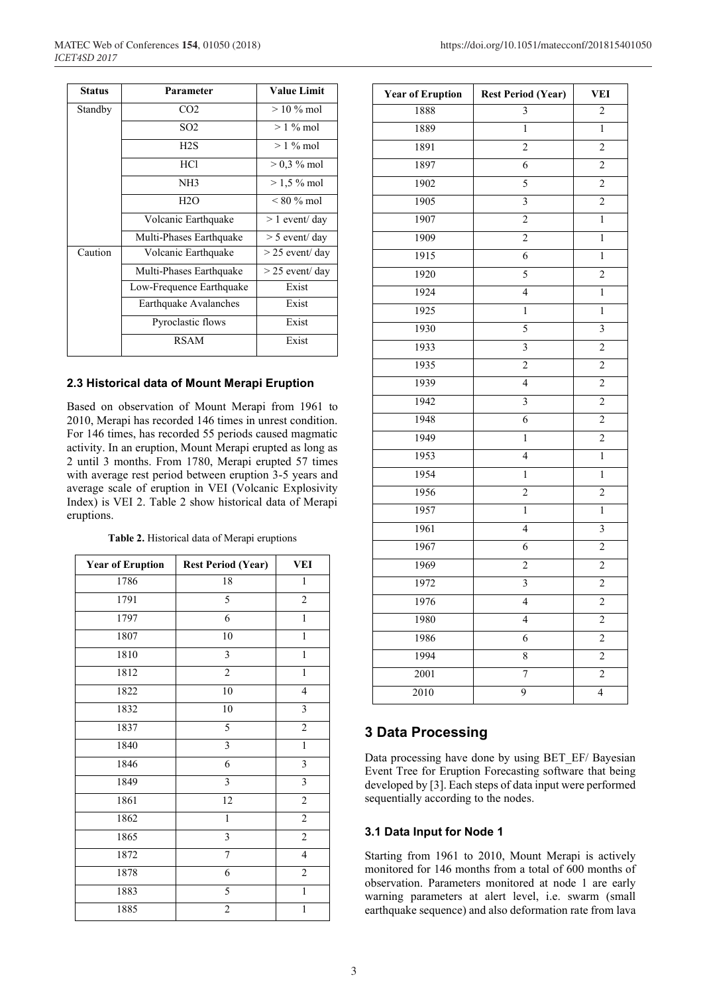| <b>Status</b> | Parameter                | <b>Value Limit</b> |
|---------------|--------------------------|--------------------|
| Standby       | CO <sub>2</sub>          | $>10\%$ mol        |
|               | SO <sub>2</sub>          | $>1\%$ mol         |
|               | H2S                      | $>1\%$ mol         |
|               | HC1                      | $> 0.3 \%$ mol     |
|               | NH <sub>3</sub>          | $>1.5\%$ mol       |
|               | H2O                      | $\leq 80\%$ mol    |
|               | Volcanic Earthquake      | $> 1$ event/day    |
|               | Multi-Phases Earthquake  | $>$ 5 event/ day   |
| Caution       | Volcanic Earthquake      | $>$ 25 event/ day  |
|               | Multi-Phases Earthquake  | $>$ 25 event/ day  |
|               | Low-Frequence Earthquake | Exist              |
|               | Earthquake Avalanches    | Exist              |
|               | Pyroclastic flows        | Exist              |
|               | <b>RSAM</b>              | Exist              |

### **2.3 Historical data of Mount Merapi Eruption**

Based on observation of Mount Merapi from 1961 to 2010, Merapi has recorded 146 times in unrest condition. For 146 times, has recorded 55 periods caused magmatic activity. In an eruption, Mount Merapi erupted as long as 2 until 3 months. From 1780, Merapi erupted 57 times with average rest period between eruption 3-5 years and average scale of eruption in VEI (Volcanic Explosivity Index) is VEI 2. Table 2 show historical data of Merapi eruptions.

**Table 2.** Historical data of Merapi eruptions

| <b>Year of Eruption</b> | <b>Rest Period (Year)</b> | <b>VEI</b>              |
|-------------------------|---------------------------|-------------------------|
| 1786                    | 18                        | 1                       |
| 1791                    | 5                         | $\overline{c}$          |
| 1797                    | 6                         | $\mathbf{1}$            |
| 1807                    | 10                        | $\mathbf{1}$            |
| 1810                    | 3                         | $\mathbf{1}$            |
| 1812                    | $\overline{c}$            | $\mathbf{1}$            |
| 1822                    | 10                        | $\overline{\mathbf{4}}$ |
| 1832                    | 10                        | 3                       |
| 1837                    | 5                         | $\overline{c}$          |
| 1840                    | $\overline{\mathbf{3}}$   | $\mathbf{1}$            |
| 1846                    | 6                         | $\mathfrak{Z}$          |
| 1849                    | $\overline{\mathbf{3}}$   | $\mathfrak{Z}$          |
| 1861                    | $\overline{12}$           | $\overline{c}$          |
| 1862                    | $\mathbf{1}$              | $\overline{c}$          |
| 1865                    | 3                         | $\overline{c}$          |
| 1872                    | $\overline{7}$            | $\overline{\mathbf{4}}$ |
| 1878                    | 6                         | $\overline{c}$          |
| 1883                    | 5                         | $\mathbf{1}$            |
| 1885                    | $\overline{c}$            | $\mathbf{1}$            |

| <b>Year of Eruption</b> | <b>Rest Period (Year)</b> | <b>VEI</b>              |
|-------------------------|---------------------------|-------------------------|
| 1888                    | 3                         | $\overline{c}$          |
| 1889                    | $\mathbf{1}$              | $\mathbf{1}$            |
| 1891                    | $\overline{2}$            | $\overline{2}$          |
| 1897                    | 6                         | $\overline{c}$          |
| 1902                    | 5                         | $\overline{c}$          |
| 1905                    | 3                         | $\overline{c}$          |
| 1907                    | 2                         | $\mathbf{1}$            |
| 1909                    | $\overline{2}$            | $\overline{1}$          |
| 1915                    | 6                         | $\mathbf{1}$            |
| 1920                    | $\overline{5}$            | $\overline{2}$          |
| 1924                    | $\overline{\mathbf{4}}$   | $\,1$                   |
| 1925                    | $\,1$                     | $\,1$                   |
| 1930                    | 5                         | 3                       |
| 1933                    | $\overline{\mathbf{3}}$   | $\overline{c}$          |
| 1935                    | $\overline{c}$            | $\overline{c}$          |
| 1939                    | $\overline{\mathbf{4}}$   | $\overline{\mathbf{c}}$ |
| 1942                    | 3                         | $\overline{c}$          |
| 1948                    | 6                         | $\overline{c}$          |
| 1949                    | $\,1$                     | $\overline{2}$          |
| 1953                    | $\overline{4}$            | $\,1$                   |
| 1954                    | $\,1$                     | $\overline{1}$          |
| 1956                    | $\overline{c}$            | $\overline{2}$          |
| 1957                    | $\,1$                     | $\,1$                   |
| 1961                    | $\overline{4}$            | 3                       |
| 1967                    | 6                         | $\overline{c}$          |
| 1969                    | $\overline{c}$            | $\overline{c}$          |
| 1972                    | 3                         | $\overline{c}$          |
| 1976                    | $\overline{4}$            | $\overline{c}$          |
| 1980                    | $\overline{4}$            | $\overline{c}$          |
| 1986                    | 6                         | $\overline{c}$          |
| 1994                    | 8                         | $\overline{\mathbf{c}}$ |
| 2001                    | $\overline{7}$            | $\overline{\mathbf{c}}$ |
| 2010                    | 9                         | $\overline{4}$          |

# **3 Data Processing**

Data processing have done by using BET\_EF/ Bayesian Event Tree for Eruption Forecasting software that being developed by [3]. Each steps of data input were performed sequentially according to the nodes.

### **3.1 Data Input for Node 1**

Starting from 1961 to 2010, Mount Merapi is actively monitored for 146 months from a total of 600 months of observation. Parameters monitored at node 1 are early warning parameters at alert level, i.e. swarm (small earthquake sequence) and also deformation rate from lava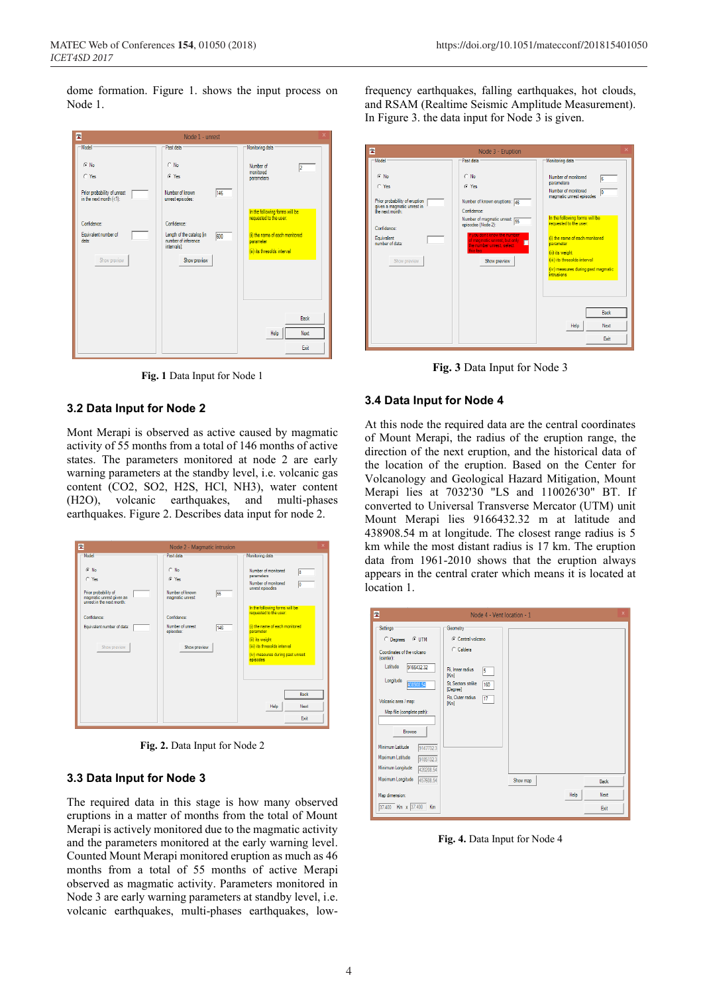dome formation. Figure 1. shows the input process on Node 1.



**Fig. 1** Data Input for Node 1

#### **3.2 Data Input for Node 2**

Mont Merapi is observed as active caused by magmatic activity of 55 months from a total of 146 months of active states. The parameters monitored at node 2 are early warning parameters at the standby level, i.e. volcanic gas content (CO2, SO2, H2S, HCl, NH3), water content (H2O), volcanic earthquakes, and multi-phases earthquakes. Figure 2. Describes data input for node 2.

| 医<br>$\times$<br>Node 2 - Magmatic intrusion                                                       |                                                              |                                                                                                          |  |  |
|----------------------------------------------------------------------------------------------------|--------------------------------------------------------------|----------------------------------------------------------------------------------------------------------|--|--|
| Model                                                                                              | Past data                                                    | Monitoring data                                                                                          |  |  |
| $G$ No<br>$C$ Yes<br>Prior probability of<br>magmatic unrest given an<br>unrest in the next month: | $C$ No<br>G Yes<br>Number of known<br>55<br>magmatic unrest: | Number of monitored<br>8<br>parameters<br>Number of monitored<br>10<br>unrest episodes                   |  |  |
| Confidence:<br>Equivalent number of data:                                                          | Confidence:<br>Number of unrest<br>146<br>episodes:          | In the following forms will be<br>requested to the user:<br>(i) the name of each monitored.<br>parameter |  |  |
| Show preview                                                                                       | Show preview                                                 | (ii) its weight<br>(iii) its thresolds interval<br>(iv) measures during past unrest<br>enisodes          |  |  |
|                                                                                                    |                                                              | <b>Rack</b><br>Help<br>Next<br>Fxit                                                                      |  |  |

**Fig. 2.** Data Input for Node 2

#### **3.3 Data Input for Node 3**

The required data in this stage is how many observed eruptions in a matter of months from the total of Mount Merapi is actively monitored due to the magmatic activity and the parameters monitored at the early warning level. Counted Mount Merapi monitored eruption as much as 46 months from a total of 55 months of active Merapi observed as magmatic activity. Parameters monitored in Node 3 are early warning parameters at standby level, i.e. volcanic earthquakes, multi-phases earthquakes, low-

frequency earthquakes, falling earthquakes, hot clouds, and RSAM (Realtime Seismic Amplitude Measurement). In Figure 3. the data input for Node 3 is given.

| 学                                                                                                                                                                           | Node 3 - Eruption                                                                                                                                                                                                                                       |                                                                                                                                                                                                                                                                                                                                                                                            |
|-----------------------------------------------------------------------------------------------------------------------------------------------------------------------------|---------------------------------------------------------------------------------------------------------------------------------------------------------------------------------------------------------------------------------------------------------|--------------------------------------------------------------------------------------------------------------------------------------------------------------------------------------------------------------------------------------------------------------------------------------------------------------------------------------------------------------------------------------------|
| Model<br>$G$ No<br>C. Yes<br>Prior probability of eruption<br>given a magmatic unrest in<br>the next month:<br>Confidence:<br>Equivalent<br>number of data:<br>Show preview | Past data<br>$C$ No.<br>G Yes<br>Number of known eruptions: 46<br>Confidence:<br>Number of magmatic unrest 55<br>episodes (Node 2):<br>vou don't know the number<br>of magmatic unrest, but only<br>the number unrest, select<br>is tan<br>Show preview | Monitoring data<br>Number of monitored<br>6<br>parameters<br>Number of monitored<br>lo.<br>magmatic unrest episodes<br>In the following forms will be<br>requested to the user:<br>(i) the name of each monitored<br><b>parameter</b><br>(ii) its weight<br>(iii) its thresolds interval<br>(iv) measures during past magmatic<br><i>intrusions</i><br><b>Back</b><br>Help<br>Next<br>Exit |
|                                                                                                                                                                             |                                                                                                                                                                                                                                                         |                                                                                                                                                                                                                                                                                                                                                                                            |

**Fig. 3** Data Input for Node 3

#### **3.4 Data Input for Node 4**

At this node the required data are the central coordinates of Mount Merapi, the radius of the eruption range, the direction of the next eruption, and the historical data of the location of the eruption. Based on the Center for Volcanology and Geological Hazard Mitigation, Mount Merapi lies at 7032'30 "LS and 110026'30" BT. If converted to Universal Transverse Mercator (UTM) unit Mount Merapi lies 9166432.32 m at latitude and 438908.54 m at longitude. The closest range radius is 5 km while the most distant radius is 17 km. The eruption data from 1961-2010 shows that the eruption always appears in the central crater which means it is located at location 1.

| 煲                                                                                                                                                                                                              | Node 4 - Vent location - 1                                                                                                                                                 | $\times$ |
|----------------------------------------------------------------------------------------------------------------------------------------------------------------------------------------------------------------|----------------------------------------------------------------------------------------------------------------------------------------------------------------------------|----------|
| Settings<br>$\bigcirc$ Degrees<br>$C$ UTM<br>Coordinates of the volcano<br>(center):<br>Latitude<br>9166432.32<br>Longitude<br>438908.54<br>Volcanic area / map:<br>Map file (complete path):<br><b>Browse</b> | Geometry<br>C. Central volcano<br>C Caldera<br>Ri. Inner radius<br>5<br>[Km]<br>St. Sectors strike<br>160<br>[Degree]<br>Ro Outer radius<br>$\overline{17}$<br><b>IKml</b> |          |
| Minimum Latitude<br>9147732.3<br>Maximum Latitude<br>9185132.3<br>Minimum Longitude<br>420208.54<br>Maximum Longitude<br>457608.54<br>Map dimension:<br>37.400 Km x 37.400<br>Km                               | Show map<br><b>Back</b><br>Help<br>Next<br>Exit                                                                                                                            |          |

**Fig. 4.** Data Input for Node 4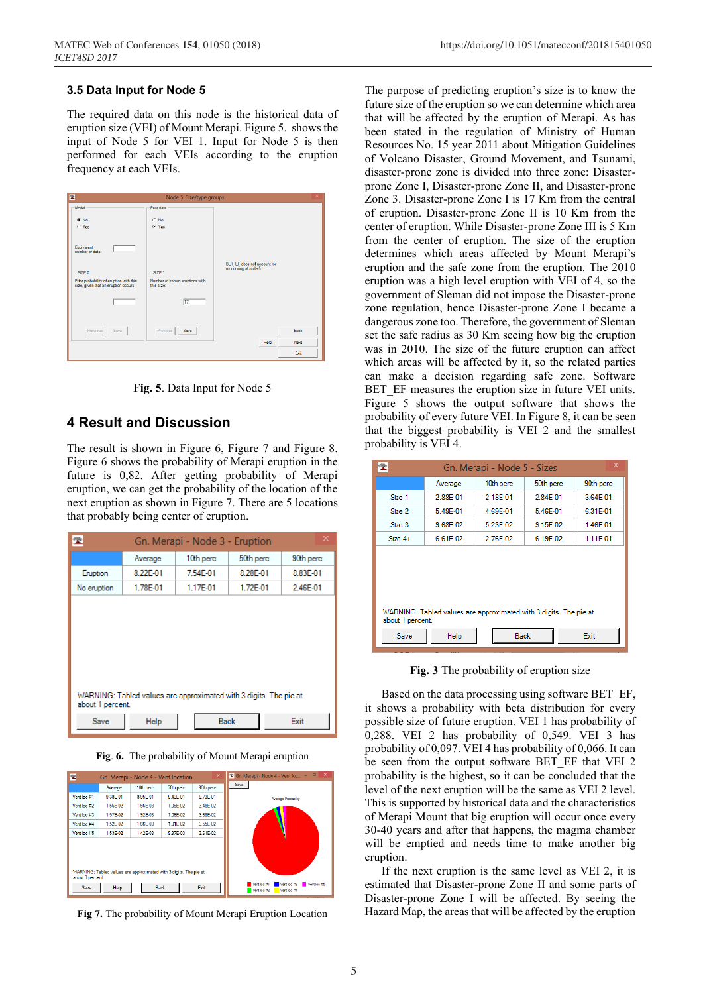#### **3.5 Data Input for Node 5**

The required data on this node is the historical data of eruption size (VEI) of Mount Merapi. Figure 5. shows the input of Node 5 for VEI 1. Input for Node 5 is then performed for each VEIs according to the eruption frequency at each VEIs.



**Fig. 5**. Data Input for Node 5

### **4 Result and Discussion**

The result is shown in Figure 6, Figure 7 and Figure 8. Figure 6 shows the probability of Merapi eruption in the future is 0,82. After getting probability of Merapi eruption, we can get the probability of the location of the next eruption as shown in Figure 7. There are 5 locations that probably being center of eruption.

| ×<br>Gn. Merapi - Node 3 - Eruption |                                                                           |             |           |           |
|-------------------------------------|---------------------------------------------------------------------------|-------------|-----------|-----------|
|                                     | Average                                                                   | 10th perc   | 50th perc | 90th perc |
| Eruption                            | 8.22E-01                                                                  | 7.54E-01    | 8.28E-01  | 8.83E-01  |
| No eruption                         | 1.78E-01                                                                  | 1.17E-01    | 1.72E-01  | 2.46E-01  |
| about 1 percent.<br>Save            | WARNING: Tabled values are approximated with 3 digits. The pie at<br>Help | <b>Back</b> |           | Exit      |

**Fig**. **6.** The probability of Mount Merapi eruption



**Fig 7.** The probability of Mount Merapi Eruption Location

The purpose of predicting eruption's size is to know the future size of the eruption so we can determine which area that will be affected by the eruption of Merapi. As has been stated in the regulation of Ministry of Human Resources No. 15 year 2011 about Mitigation Guidelines of Volcano Disaster, Ground Movement, and Tsunami, disaster-prone zone is divided into three zone: Disasterprone Zone I, Disaster-prone Zone II, and Disaster-prone Zone 3. Disaster-prone Zone I is 17 Km from the central of eruption. Disaster-prone Zone II is 10 Km from the center of eruption. While Disaster-prone Zone III is 5 Km from the center of eruption. The size of the eruption determines which areas affected by Mount Merapi's eruption and the safe zone from the eruption. The 2010 eruption was a high level eruption with VEI of 4, so the government of Sleman did not impose the Disaster-prone zone regulation, hence Disaster-prone Zone I became a dangerous zone too. Therefore, the government of Sleman set the safe radius as 30 Km seeing how big the eruption was in 2010. The size of the future eruption can affect which areas will be affected by it, so the related parties can make a decision regarding safe zone. Software BET EF measures the eruption size in future VEI units. Figure 5 shows the output software that shows the probability of every future VEI. In Figure 8, it can be seen that the biggest probability is VEI 2 and the smallest probability is VEI 4.

| ×<br>Gn. Merapi - Node 5 - Sizes                                                      |          |             |           |           |
|---------------------------------------------------------------------------------------|----------|-------------|-----------|-----------|
|                                                                                       | Average  | 10th perc   | 50th perc | 90th perc |
| Size 1                                                                                | 2.88E-01 | 2.18E-01    | 2.84E-01  | 3.64E-01  |
| Size 2                                                                                | 5.49E-01 | 4.69E-01    | 5.46E-01  | 6.31E-01  |
| Size <sub>3</sub>                                                                     | 9.68E-02 | 5.23E-02    | 9.15E-02  | 1.46E-01  |
| $Size 4+$                                                                             | 6.61E-02 | 2.76E-02    | 6.19E-02  | 1.11E-01  |
| WARNING: Tabled values are approximated with 3 digits. The pie at<br>about 1 percent. |          |             |           |           |
| Save                                                                                  | Help     | <b>Back</b> |           | Exit      |

**Fig. 3** The probability of eruption size

Based on the data processing using software BET\_EF, it shows a probability with beta distribution for every possible size of future eruption. VEI 1 has probability of 0,288. VEI 2 has probability of 0,549. VEI 3 has probability of 0,097. VEI 4 has probability of 0,066. It can be seen from the output software BET\_EF that VEI 2 probability is the highest, so it can be concluded that the level of the next eruption will be the same as VEI 2 level. This is supported by historical data and the characteristics of Merapi Mount that big eruption will occur once every 30-40 years and after that happens, the magma chamber will be emptied and needs time to make another big eruption.

If the next eruption is the same level as VEI 2, it is estimated that Disaster-prone Zone II and some parts of Disaster-prone Zone I will be affected. By seeing the Hazard Map, the areas that will be affected by the eruption